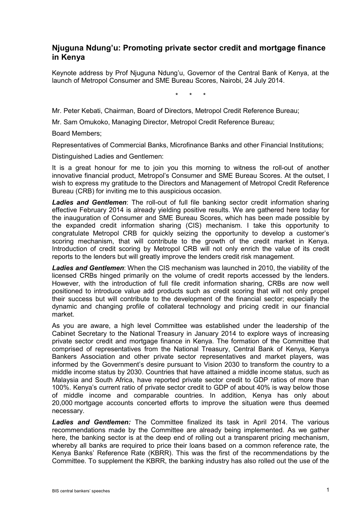## **Njuguna Ndung'u: Promoting private sector credit and mortgage finance in Kenya**

Keynote address by Prof Njuguna Ndung'u, Governor of the Central Bank of Kenya, at the launch of Metropol Consumer and SME Bureau Scores, Nairobi, 24 July 2014.

\* \* \*

Mr. Peter Kebati, Chairman, Board of Directors, Metropol Credit Reference Bureau;

Mr. Sam Omukoko, Managing Director, Metropol Credit Reference Bureau;

Board Members;

Representatives of Commercial Banks, Microfinance Banks and other Financial Institutions;

Distinguished Ladies and Gentlemen:

It is a great honour for me to join you this morning to witness the roll-out of another innovative financial product, Metropol's Consumer and SME Bureau Scores. At the outset, I wish to express my gratitude to the Directors and Management of Metropol Credit Reference Bureau (CRB) for inviting me to this auspicious occasion.

*Ladies and Gentlemen*: The roll-out of full file banking sector credit information sharing effective February 2014 is already yielding positive results. We are gathered here today for the inauguration of Consumer and SME Bureau Scores, which has been made possible by the expanded credit information sharing (CIS) mechanism. I take this opportunity to congratulate Metropol CRB for quickly seizing the opportunity to develop a customer's scoring mechanism, that will contribute to the growth of the credit market in Kenya. Introduction of credit scoring by Metropol CRB will not only enrich the value of its credit reports to the lenders but will greatly improve the lenders credit risk management.

*Ladies and Gentlemen*: When the CIS mechanism was launched in 2010, the viability of the licensed CRBs hinged primarily on the volume of credit reports accessed by the lenders. However, with the introduction of full file credit information sharing, CRBs are now well positioned to introduce value add products such as credit scoring that will not only propel their success but will contribute to the development of the financial sector; especially the dynamic and changing profile of collateral technology and pricing credit in our financial market.

As you are aware, a high level Committee was established under the leadership of the Cabinet Secretary to the National Treasury in January 2014 to explore ways of increasing private sector credit and mortgage finance in Kenya. The formation of the Committee that comprised of representatives from the National Treasury, Central Bank of Kenya, Kenya Bankers Association and other private sector representatives and market players, was informed by the Government's desire pursuant to Vision 2030 to transform the country to a middle income status by 2030. Countries that have attained a middle income status, such as Malaysia and South Africa, have reported private sector credit to GDP ratios of more than 100%. Kenya's current ratio of private sector credit to GDP of about 40% is way below those of middle income and comparable countries. In addition, Kenya has only about 20,000 mortgage accounts concerted efforts to improve the situation were thus deemed necessary.

*Ladies and Gentlemen:* The Committee finalized its task in April 2014. The various recommendations made by the Committee are already being implemented. As we gather here, the banking sector is at the deep end of rolling out a transparent pricing mechanism, whereby all banks are required to price their loans based on a common reference rate, the Kenya Banks' Reference Rate (KBRR). This was the first of the recommendations by the Committee. To supplement the KBRR, the banking industry has also rolled out the use of the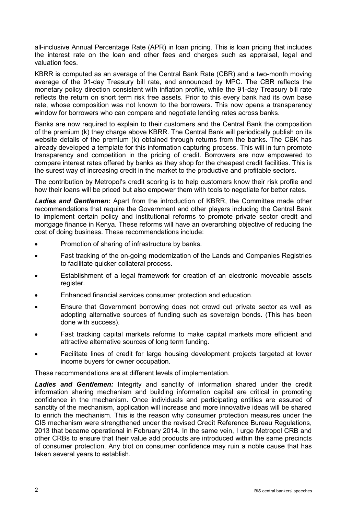all-inclusive Annual Percentage Rate (APR) in loan pricing. This is loan pricing that includes the interest rate on the loan and other fees and charges such as appraisal, legal and valuation fees.

KBRR is computed as an average of the Central Bank Rate (CBR) and a two-month moving average of the 91-day Treasury bill rate, and announced by MPC. The CBR reflects the monetary policy direction consistent with inflation profile, while the 91-day Treasury bill rate reflects the return on short term risk free assets. Prior to this every bank had its own base rate, whose composition was not known to the borrowers. This now opens a transparency window for borrowers who can compare and negotiate lending rates across banks.

Banks are now required to explain to their customers and the Central Bank the composition of the premium (k) they charge above KBRR. The Central Bank will periodically publish on its website details of the premium (k) obtained through returns from the banks. The CBK has already developed a template for this information capturing process. This will in turn promote transparency and competition in the pricing of credit. Borrowers are now empowered to compare interest rates offered by banks as they shop for the cheapest credit facilities. This is the surest way of increasing credit in the market to the productive and profitable sectors.

The contribution by Metropol's credit scoring is to help customers know their risk profile and how their loans will be priced but also empower them with tools to negotiate for better rates.

*Ladies and Gentlemen:* Apart from the introduction of KBRR, the Committee made other recommendations that require the Government and other players including the Central Bank to implement certain policy and institutional reforms to promote private sector credit and mortgage finance in Kenya. These reforms will have an overarching objective of reducing the cost of doing business. These recommendations include:

- Promotion of sharing of infrastructure by banks.
- Fast tracking of the on-going modernization of the Lands and Companies Registries to facilitate quicker collateral process.
- Establishment of a legal framework for creation of an electronic moveable assets register.
- Enhanced financial services consumer protection and education.
- Ensure that Government borrowing does not crowd out private sector as well as adopting alternative sources of funding such as sovereign bonds. (This has been done with success).
- Fast tracking capital markets reforms to make capital markets more efficient and attractive alternative sources of long term funding.
- Facilitate lines of credit for large housing development projects targeted at lower income buyers for owner occupation.

These recommendations are at different levels of implementation.

Ladies and Gentlemen: Integrity and sanctity of information shared under the credit information sharing mechanism and building information capital are critical in promoting confidence in the mechanism. Once individuals and participating entities are assured of sanctity of the mechanism, application will increase and more innovative ideas will be shared to enrich the mechanism. This is the reason why consumer protection measures under the CIS mechanism were strengthened under the revised Credit Reference Bureau Regulations, 2013 that became operational in February 2014. In the same vein, I urge Metropol CRB and other CRBs to ensure that their value add products are introduced within the same precincts of consumer protection. Any blot on consumer confidence may ruin a noble cause that has taken several years to establish.